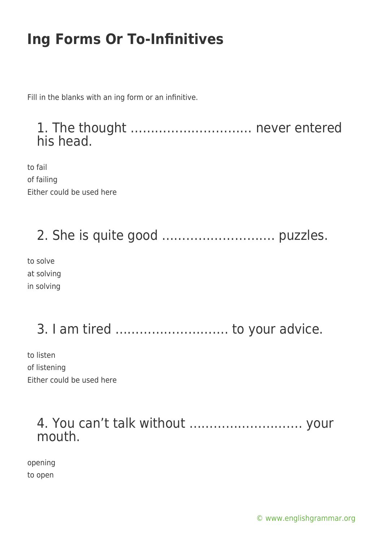Fill in the blanks with an ing form or an infinitive.

#### 1. The thought ………………………… never entered his head.

to fail of failing Either could be used here

### 2. She is quite good ………………………. puzzles.

to solve at solving in solving

## 3. I am tired ………………………. to your advice.

to listen of listening Either could be used here

#### 4. You can't talk without ………………………. your mouth.

opening to open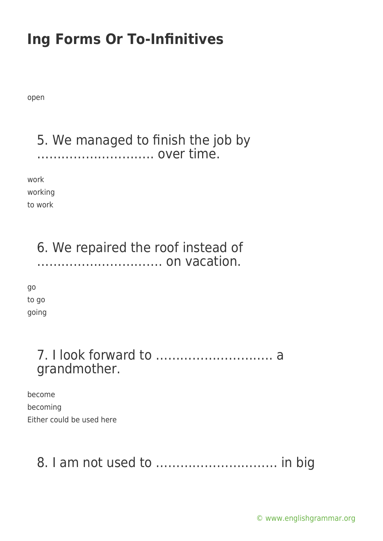open

#### 5. We managed to finish the job by ……………………….. over time.

work working to work

### 6. We repaired the roof instead of …………………………. on vacation.

go to go going

### 7. I look forward to ……………………….. a grandmother.

become becoming Either could be used here

### 8. I am not used to ………………………… in big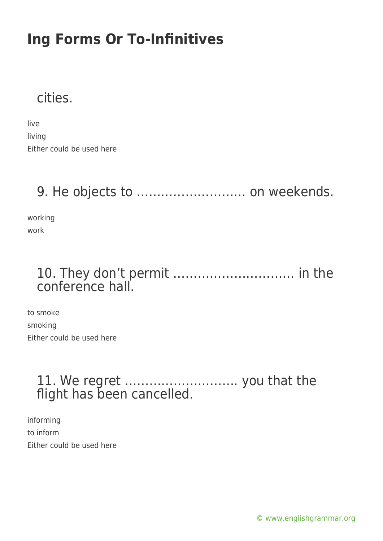### cities.

live living Either could be used here

### 9. He objects to ……………………… on weekends.

working work

### 10. They don't permit ………………………… in the conference hall.

to smoke smoking Either could be used here

### 11. We regret ………………………. you that the flight has been cancelled.

informing to inform Either could be used here